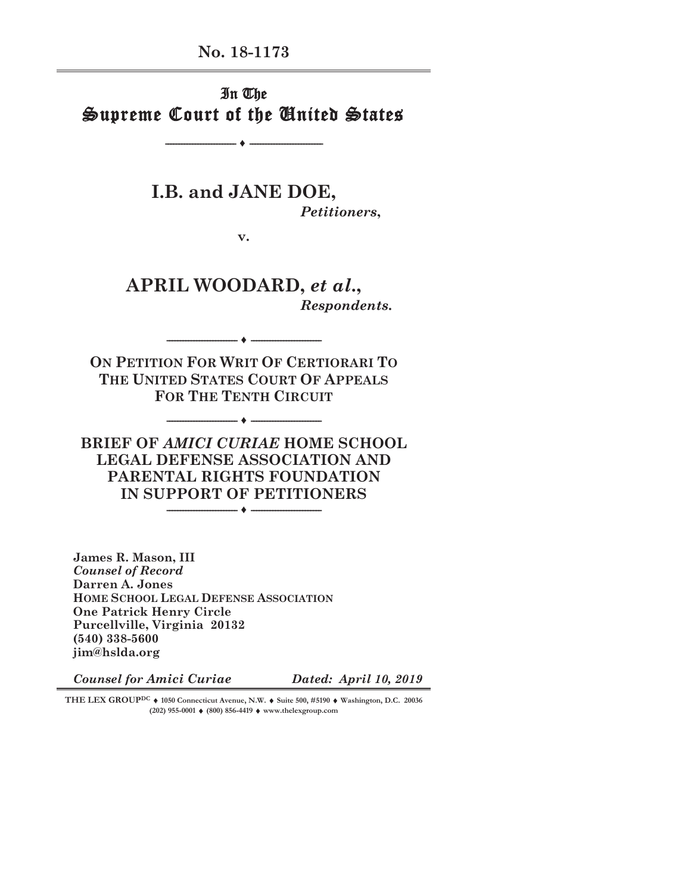**No. 18-1173** 

In The Supreme Court of the United States

**-------------------------- ♦ ---------------------------** 

**I.B. and JANE DOE,**  *Petitioners***,**

**v.** 

**APRIL WOODARD,** *et al***.,**  *Respondents***.**

**-------------------------- ♦ --------------------------** 

**ON PETITION FOR WRIT OF CERTIORARI TO THE UNITED STATES COURT OF APPEALS FOR THE TENTH CIRCUIT**

**-------------------------- ♦ --------------------------** 

**BRIEF OF** *AMICI CURIAE* **HOME SCHOOL LEGAL DEFENSE ASSOCIATION AND PARENTAL RIGHTS FOUNDATION IN SUPPORT OF PETITIONERS** 

**James R. Mason, III**  *Counsel of Record*  **Darren A. Jones HOME SCHOOL LEGAL DEFENSE ASSOCIATION One Patrick Henry Circle Purcellville, Virginia 20132 (540) 338-5600 jim@hslda.org** 

*Counsel for Amici Curiae Dated: April 10, 2019*

**THE LEX GROUP<sup>DC</sup> ♦ 1050 Connecticut Avenue, N.W. ♦ Suite 500, #5190 ♦ Washington, D.C. 20036 (202) 955-0001 ♦ (800) 856-4419 ♦ www.thelexgroup.com**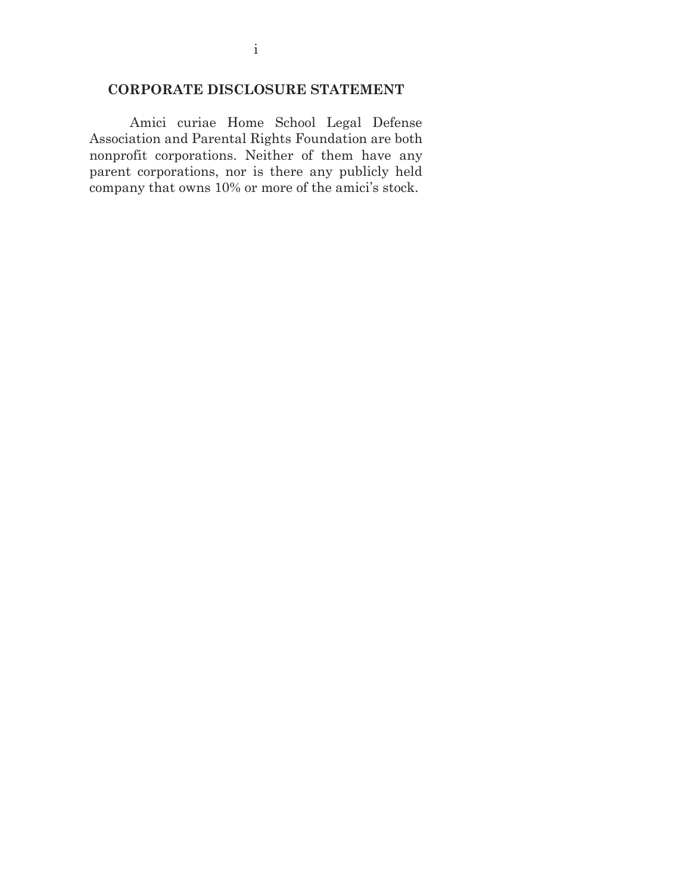### **CORPORATE DISCLOSURE STATEMENT**

Amici curiae Home School Legal Defense Association and Parental Rights Foundation are both nonprofit corporations. Neither of them have any parent corporations, nor is there any publicly held company that owns 10% or more of the amici's stock.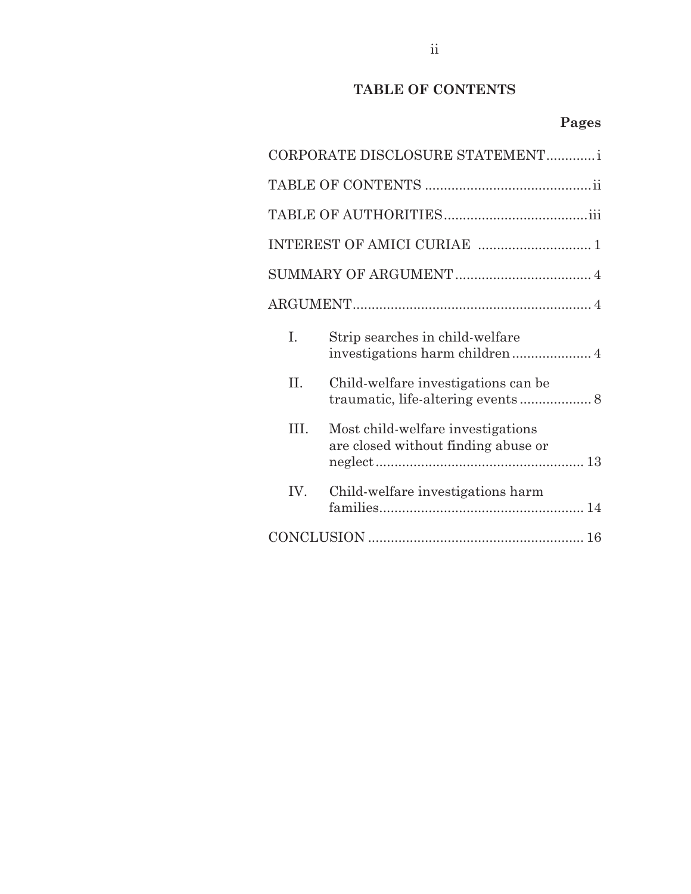## **TABLE OF CONTENTS**

# **Pages**

| CORPORATE DISCLOSURE STATEMENTi |                                                                          |  |  |  |  |
|---------------------------------|--------------------------------------------------------------------------|--|--|--|--|
|                                 |                                                                          |  |  |  |  |
|                                 |                                                                          |  |  |  |  |
|                                 |                                                                          |  |  |  |  |
|                                 |                                                                          |  |  |  |  |
|                                 |                                                                          |  |  |  |  |
| L.                              | Strip searches in child-welfare                                          |  |  |  |  |
| II.                             | Child-welfare investigations can be                                      |  |  |  |  |
| TH.                             | Most child-welfare investigations<br>are closed without finding abuse or |  |  |  |  |
| IV.                             | Child-welfare investigations harm                                        |  |  |  |  |
|                                 |                                                                          |  |  |  |  |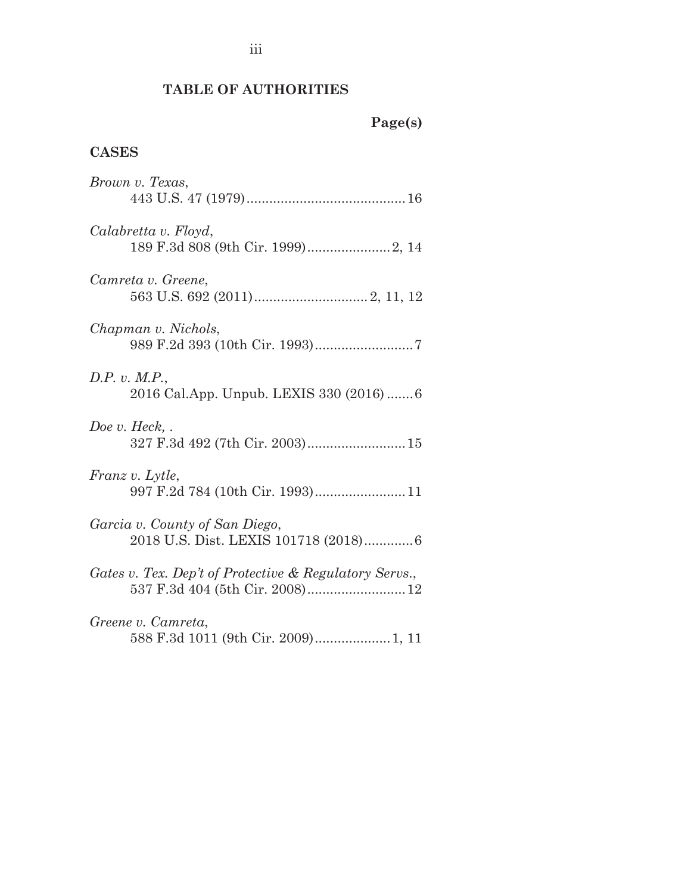## **TABLE OF AUTHORITIES**

# **CASES**

| Brown v. Texas,                                                         |
|-------------------------------------------------------------------------|
| Calabretta v. Floyd,                                                    |
| Camreta v. Greene,                                                      |
| Chapman v. Nichols,                                                     |
| D.P. v. M.P.,<br>2016 Cal.App. Unpub. LEXIS 330 (2016)  6               |
| Doe v. Heck, $\cdot$                                                    |
| Franz v. Lytle,<br>997 F.2d 784 (10th Cir. 1993)11                      |
| Garcia v. County of San Diego,<br>2018 U.S. Dist. LEXIS 101718 (2018) 6 |
| Gates v. Tex. Dep't of Protective & Regulatory Servs.,                  |
| Greene v. Camreta,<br>588 F.3d 1011 (9th Cir. 2009) 1, 11               |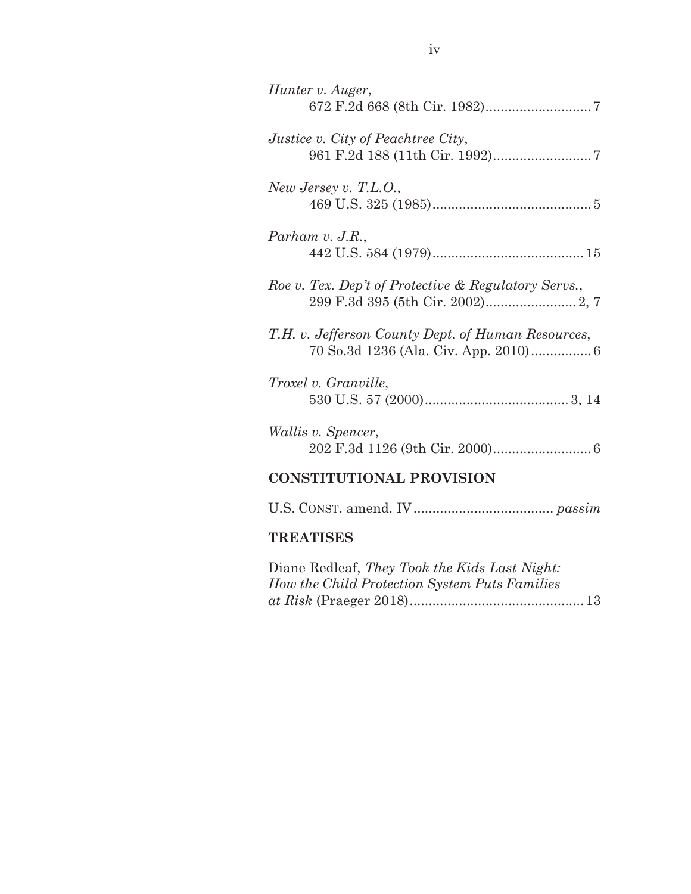| Hunter v. Auger,                                                                            |  |  |  |  |
|---------------------------------------------------------------------------------------------|--|--|--|--|
| <i>Justice v. City of Peachtree City,</i>                                                   |  |  |  |  |
| New Jersey v. T.L.O.,                                                                       |  |  |  |  |
| Parham $v.$ J.R.,                                                                           |  |  |  |  |
| Roe v. Tex. Dep't of Protective & Regulatory Servs.,                                        |  |  |  |  |
| T.H. v. Jefferson County Dept. of Human Resources,<br>70 So.3d 1236 (Ala. Civ. App. 2010) 6 |  |  |  |  |
| Troxel v. Granville,                                                                        |  |  |  |  |
| <i>Wallis v. Spencer,</i>                                                                   |  |  |  |  |
| <b>CONSTITUTIONAL PROVISION</b>                                                             |  |  |  |  |
|                                                                                             |  |  |  |  |
| <b>TREATISES</b>                                                                            |  |  |  |  |

| Diane Redleaf, They Took the Kids Last Night: |  |
|-----------------------------------------------|--|
| How the Child Protection System Puts Families |  |
|                                               |  |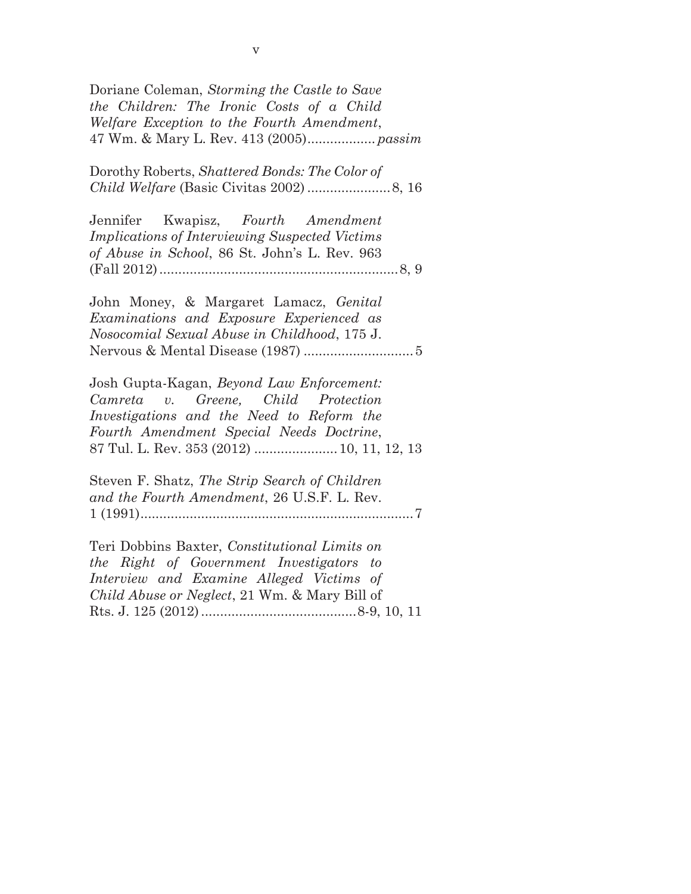| Doriane Coleman, Storming the Castle to Save<br>the Children: The Ironic Costs of a Child                                                                                                                               |
|-------------------------------------------------------------------------------------------------------------------------------------------------------------------------------------------------------------------------|
| Welfare Exception to the Fourth Amendment,                                                                                                                                                                              |
| Dorothy Roberts, Shattered Bonds: The Color of                                                                                                                                                                          |
| Jennifer Kwapisz, Fourth Amendment<br><b>Implications of Interviewing Suspected Victims</b><br>of Abuse in School, 86 St. John's L. Rev. 963                                                                            |
|                                                                                                                                                                                                                         |
| John Money, & Margaret Lamacz, Genital<br>Examinations and Exposure Experienced as<br>Nosocomial Sexual Abuse in Childhood, 175 J.                                                                                      |
| Josh Gupta-Kagan, Beyond Law Enforcement:<br>Camreta v. Greene, Child Protection<br>Investigations and the Need to Reform the<br>Fourth Amendment Special Needs Doctrine,<br>87 Tul. L. Rev. 353 (2012)  10, 11, 12, 13 |
| Steven F. Shatz, The Strip Search of Children<br>and the Fourth Amendment, 26 U.S.F. L. Rev.                                                                                                                            |
| Teri Dobbins Baxter, Constitutional Limits on<br>the Right of Government Investigators to<br>Interview and Examine Alleged Victims of<br><i>Child Abuse or Neglect</i> , 21 Wm. & Mary Bill of                          |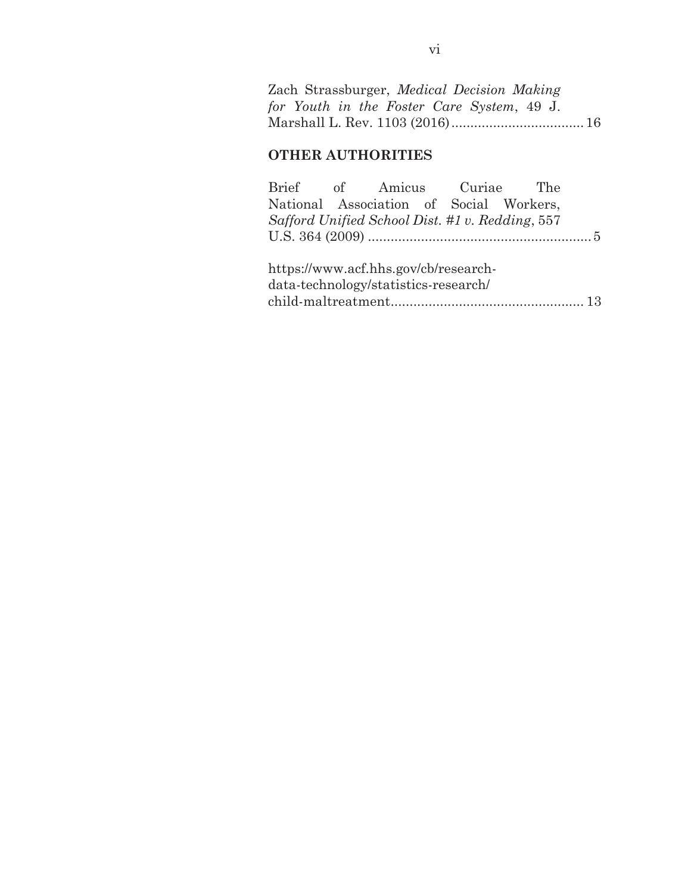|  |  | Zach Strassburger, Medical Decision Making |  |
|--|--|--------------------------------------------|--|
|  |  | for Youth in the Foster Care System, 49 J. |  |
|  |  |                                            |  |

### **OTHER AUTHORITIES**

| Brief of Amicus Curiae The                      |  |  |  |  |  |  |  |
|-------------------------------------------------|--|--|--|--|--|--|--|
| National Association of Social Workers,         |  |  |  |  |  |  |  |
| Safford Unified School Dist. #1 v. Redding, 557 |  |  |  |  |  |  |  |
|                                                 |  |  |  |  |  |  |  |
|                                                 |  |  |  |  |  |  |  |
| https://www.acf.hhs.gov/cb/research-            |  |  |  |  |  |  |  |
| data-technology/statistics-research/            |  |  |  |  |  |  |  |

child-maltreatment ................................................... 13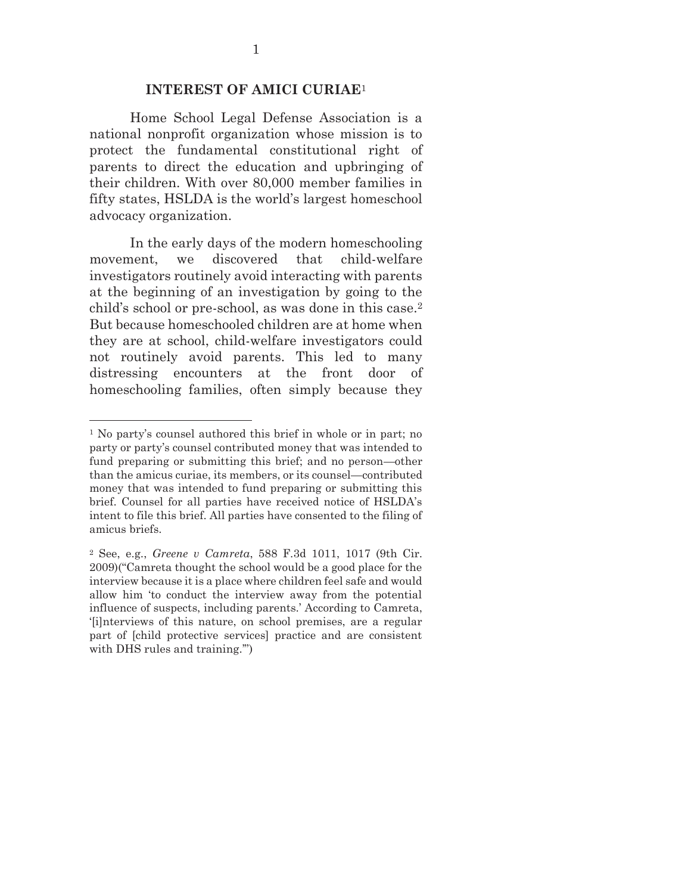#### **INTEREST OF AMICI CURIAE**<sup>1</sup>

Home School Legal Defense Association is a national nonprofit organization whose mission is to protect the fundamental constitutional right of parents to direct the education and upbringing of their children. With over 80,000 member families in fifty states, HSLDA is the world's largest homeschool advocacy organization.

In the early days of the modern homeschooling movement, we discovered that child-welfare investigators routinely avoid interacting with parents at the beginning of an investigation by going to the child's school or pre-school, as was done in this case.2 But because homeschooled children are at home when they are at school, child-welfare investigators could not routinely avoid parents. This led to many distressing encounters at the front door of homeschooling families, often simply because they

 $\overline{a}$ 

<sup>1</sup> No party's counsel authored this brief in whole or in part; no party or party's counsel contributed money that was intended to fund preparing or submitting this brief; and no person—other than the amicus curiae, its members, or its counsel—contributed money that was intended to fund preparing or submitting this brief. Counsel for all parties have received notice of HSLDA's intent to file this brief. All parties have consented to the filing of amicus briefs.

<sup>2</sup> See, e.g., *Greene v Camreta*, 588 F.3d 1011, 1017 (9th Cir. 2009)("Camreta thought the school would be a good place for the interview because it is a place where children feel safe and would allow him 'to conduct the interview away from the potential influence of suspects, including parents.' According to Camreta, '[i]nterviews of this nature, on school premises, are a regular part of [child protective services] practice and are consistent with DHS rules and training.'")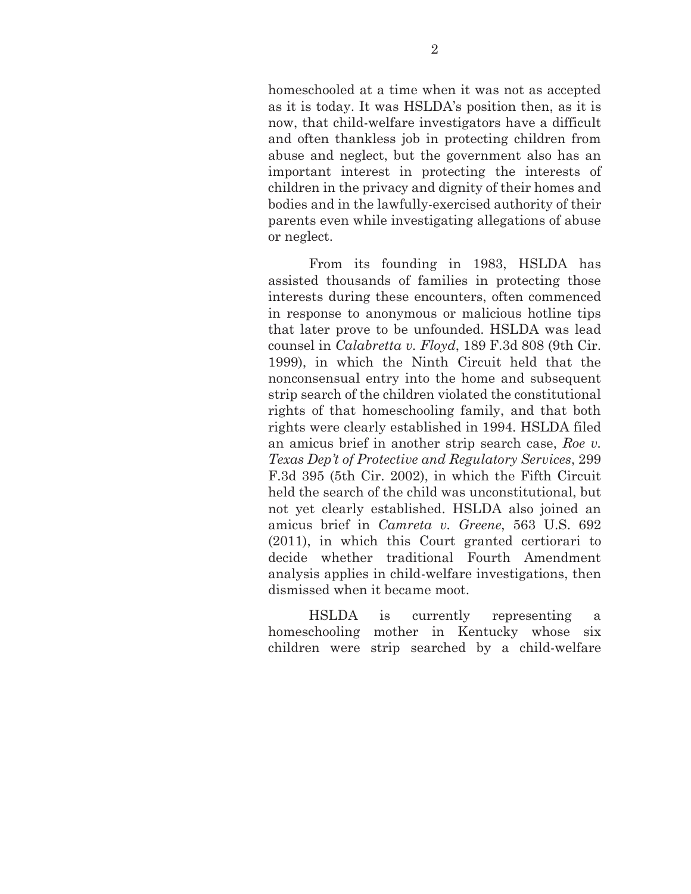homeschooled at a time when it was not as accepted as it is today. It was HSLDA's position then, as it is now, that child-welfare investigators have a difficult and often thankless job in protecting children from abuse and neglect, but the government also has an important interest in protecting the interests of children in the privacy and dignity of their homes and bodies and in the lawfully-exercised authority of their parents even while investigating allegations of abuse or neglect.

From its founding in 1983, HSLDA has assisted thousands of families in protecting those interests during these encounters, often commenced in response to anonymous or malicious hotline tips that later prove to be unfounded. HSLDA was lead counsel in *Calabretta v. Floyd*, 189 F.3d 808 (9th Cir. 1999), in which the Ninth Circuit held that the nonconsensual entry into the home and subsequent strip search of the children violated the constitutional rights of that homeschooling family, and that both rights were clearly established in 1994. HSLDA filed an amicus brief in another strip search case, *Roe v. Texas Dep't of Protective and Regulatory Services*, 299 F.3d 395 (5th Cir. 2002), in which the Fifth Circuit held the search of the child was unconstitutional, but not yet clearly established. HSLDA also joined an amicus brief in *Camreta v. Greene*, 563 U.S. 692 (2011), in which this Court granted certiorari to decide whether traditional Fourth Amendment analysis applies in child-welfare investigations, then dismissed when it became moot.

HSLDA is currently representing a homeschooling mother in Kentucky whose six children were strip searched by a child-welfare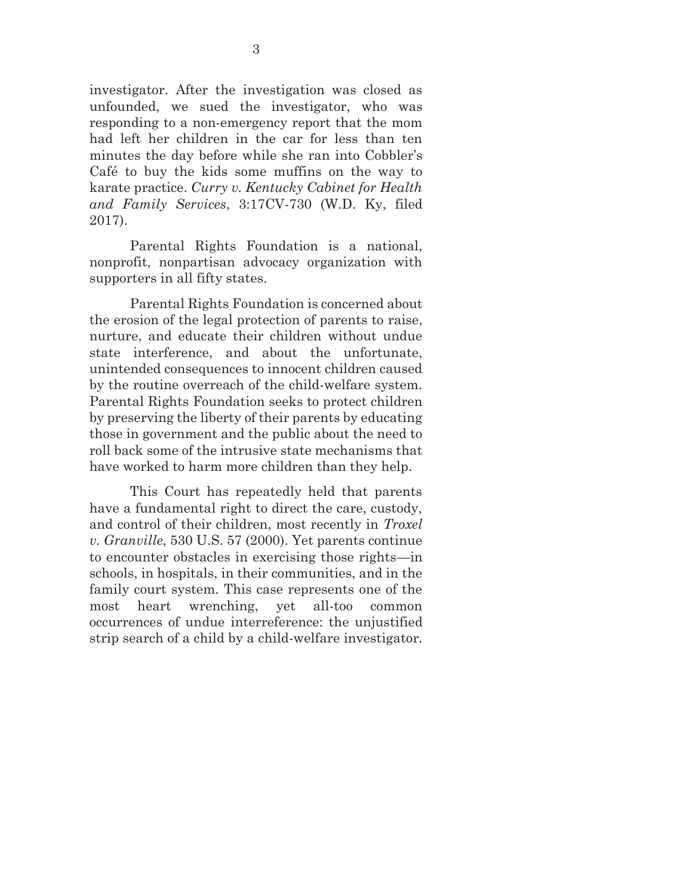investigator. After the investigation was closed as unfounded, we sued the investigator, who was responding to a non-emergency report that the mom had left her children in the car for less than ten minutes the day before while she ran into Cobbler's Café to buy the kids some muffins on the way to karate practice. *Curry v. Kentucky Cabinet for Health and Family Services*, 3:17CV-730 (W.D. Ky, filed 2017).

Parental Rights Foundation is a national, nonprofit, nonpartisan advocacy organization with supporters in all fifty states.

Parental Rights Foundation is concerned about the erosion of the legal protection of parents to raise, nurture, and educate their children without undue state interference, and about the unfortunate, unintended consequences to innocent children caused by the routine overreach of the child-welfare system. Parental Rights Foundation seeks to protect children by preserving the liberty of their parents by educating those in government and the public about the need to roll back some of the intrusive state mechanisms that have worked to harm more children than they help.

This Court has repeatedly held that parents have a fundamental right to direct the care, custody, and control of their children, most recently in *Troxel v. Granville*, 530 U.S. 57 (2000). Yet parents continue to encounter obstacles in exercising those rights—in schools, in hospitals, in their communities, and in the family court system. This case represents one of the most heart wrenching, yet all-too common occurrences of undue interreference: the unjustified strip search of a child by a child-welfare investigator.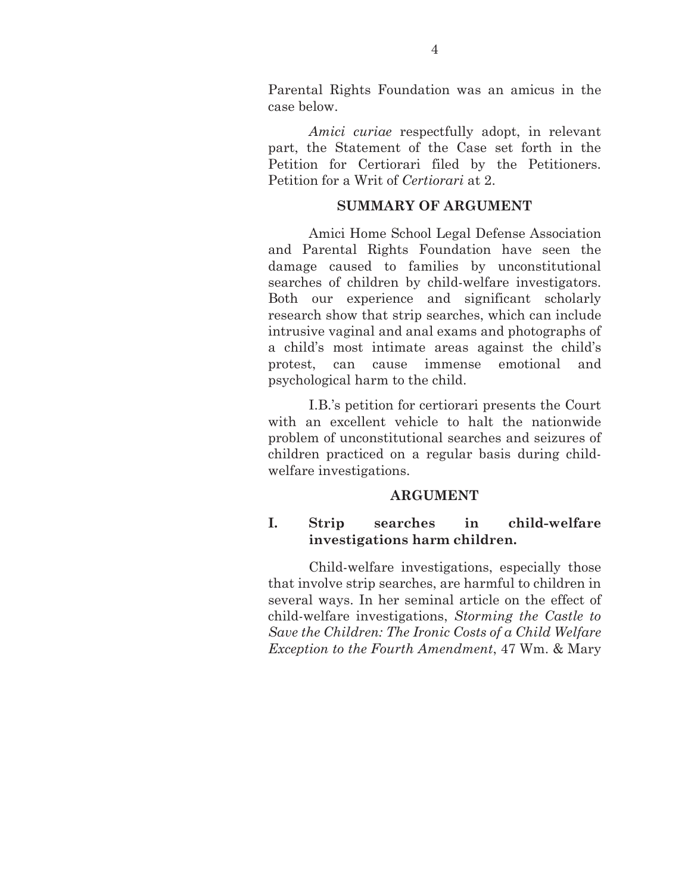Parental Rights Foundation was an amicus in the case below.

*Amici curiae* respectfully adopt, in relevant part, the Statement of the Case set forth in the Petition for Certiorari filed by the Petitioners. Petition for a Writ of *Certiorari* at 2.

#### **SUMMARY OF ARGUMENT**

Amici Home School Legal Defense Association and Parental Rights Foundation have seen the damage caused to families by unconstitutional searches of children by child-welfare investigators. Both our experience and significant scholarly research show that strip searches, which can include intrusive vaginal and anal exams and photographs of a child's most intimate areas against the child's protest, can cause immense emotional and psychological harm to the child.

I.B.'s petition for certiorari presents the Court with an excellent vehicle to halt the nationwide problem of unconstitutional searches and seizures of children practiced on a regular basis during childwelfare investigations.

#### **ARGUMENT**

### **I. Strip searches in child-welfare investigations harm children.**

Child-welfare investigations, especially those that involve strip searches, are harmful to children in several ways. In her seminal article on the effect of child-welfare investigations, *Storming the Castle to Save the Children: The Ironic Costs of a Child Welfare Exception to the Fourth Amendment*, 47 Wm. & Mary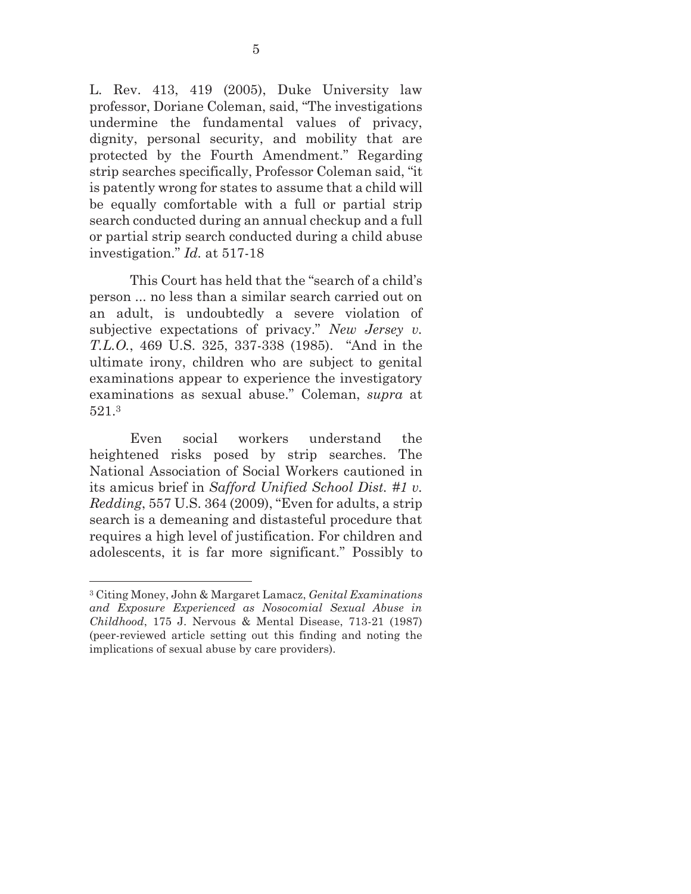L. Rev. 413, 419 (2005), Duke University law professor, Doriane Coleman, said, "The investigations undermine the fundamental values of privacy, dignity, personal security, and mobility that are protected by the Fourth Amendment." Regarding strip searches specifically, Professor Coleman said, "it is patently wrong for states to assume that a child will be equally comfortable with a full or partial strip search conducted during an annual checkup and a full or partial strip search conducted during a child abuse investigation." *Id.* at 517-18

This Court has held that the "search of a child's person ... no less than a similar search carried out on an adult, is undoubtedly a severe violation of subjective expectations of privacy." *New Jersey v. T.L.O.*, 469 U.S. 325, 337-338 (1985). "And in the ultimate irony, children who are subject to genital examinations appear to experience the investigatory examinations as sexual abuse." Coleman, *supra* at 521.3

Even social workers understand the heightened risks posed by strip searches. The National Association of Social Workers cautioned in its amicus brief in *Safford Unified School Dist. #1 v. Redding*, 557 U.S. 364 (2009), "Even for adults, a strip search is a demeaning and distasteful procedure that requires a high level of justification. For children and adolescents, it is far more significant." Possibly to

 $\overline{a}$ 

<sup>3</sup> Citing Money, John & Margaret Lamacz, *Genital Examinations and Exposure Experienced as Nosocomial Sexual Abuse in Childhood*, 175 J. Nervous & Mental Disease, 713-21 (1987) (peer-reviewed article setting out this finding and noting the implications of sexual abuse by care providers).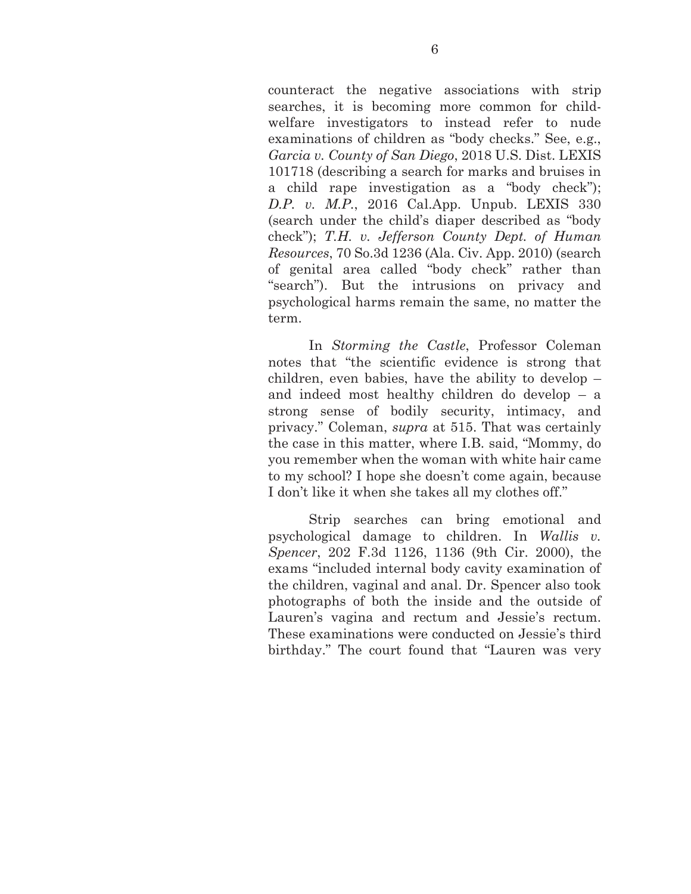counteract the negative associations with strip searches, it is becoming more common for childwelfare investigators to instead refer to nude examinations of children as "body checks." See, e.g., *Garcia v. County of San Diego*, 2018 U.S. Dist. LEXIS 101718 (describing a search for marks and bruises in a child rape investigation as a "body check"); *D.P. v. M.P.*, 2016 Cal.App. Unpub. LEXIS 330 (search under the child's diaper described as "body check"); *T.H. v. Jefferson County Dept. of Human Resources*, 70 So.3d 1236 (Ala. Civ. App. 2010) (search of genital area called "body check" rather than "search"). But the intrusions on privacy and psychological harms remain the same, no matter the term.

In *Storming the Castle*, Professor Coleman notes that "the scientific evidence is strong that children, even babies, have the ability to develop – and indeed most healthy children do develop – a strong sense of bodily security, intimacy, and privacy." Coleman, *supra* at 515. That was certainly the case in this matter, where I.B. said, "Mommy, do you remember when the woman with white hair came to my school? I hope she doesn't come again, because I don't like it when she takes all my clothes off."

Strip searches can bring emotional and psychological damage to children. In *Wallis v. Spencer*, 202 F.3d 1126, 1136 (9th Cir. 2000), the exams "included internal body cavity examination of the children, vaginal and anal. Dr. Spencer also took photographs of both the inside and the outside of Lauren's vagina and rectum and Jessie's rectum. These examinations were conducted on Jessie's third birthday." The court found that "Lauren was very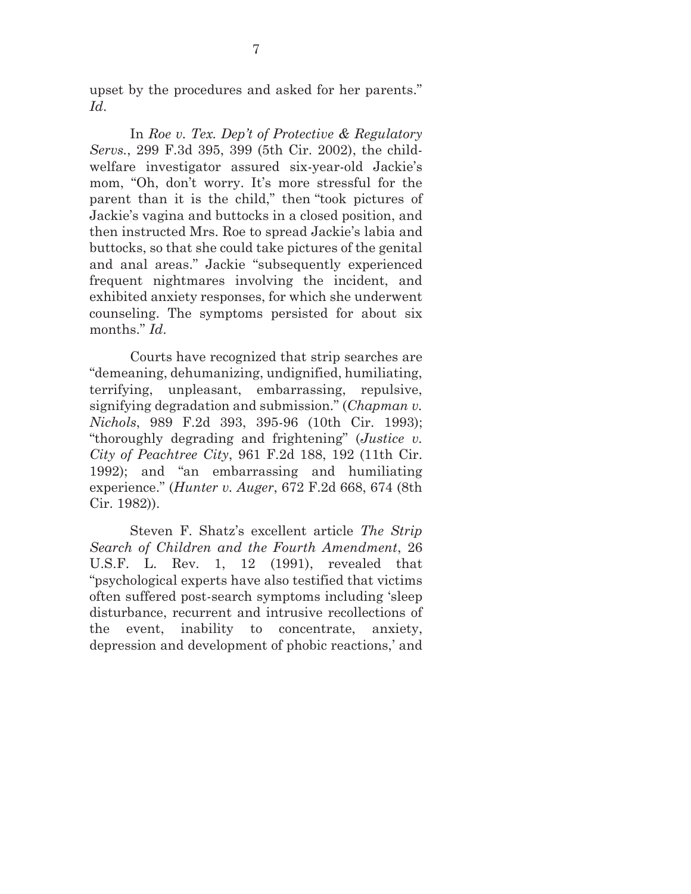upset by the procedures and asked for her parents." *Id*.

In *Roe v. Tex. Dep't of Protective & Regulatory Servs.*, 299 F.3d 395, 399 (5th Cir. 2002), the childwelfare investigator assured six-year-old Jackie's mom, "Oh, don't worry. It's more stressful for the parent than it is the child," then "took pictures of Jackie's vagina and buttocks in a closed position, and then instructed Mrs. Roe to spread Jackie's labia and buttocks, so that she could take pictures of the genital and anal areas." Jackie "subsequently experienced frequent nightmares involving the incident, and exhibited anxiety responses, for which she underwent counseling. The symptoms persisted for about six months." *Id*.

Courts have recognized that strip searches are "demeaning, dehumanizing, undignified, humiliating, terrifying, unpleasant, embarrassing, repulsive, signifying degradation and submission." (*Chapman v. Nichols*, 989 F.2d 393, 395-96 (10th Cir. 1993); "thoroughly degrading and frightening" (*Justice v. City of Peachtree City*, 961 F.2d 188, 192 (11th Cir. 1992); and "an embarrassing and humiliating experience." (*Hunter v. Auger*, 672 F.2d 668, 674 (8th Cir. 1982)).

Steven F. Shatz's excellent article *The Strip Search of Children and the Fourth Amendment*, 26 U.S.F. L. Rev. 1, 12 (1991), revealed that "psychological experts have also testified that victims often suffered post-search symptoms including 'sleep disturbance, recurrent and intrusive recollections of the event, inability to concentrate, anxiety, depression and development of phobic reactions,' and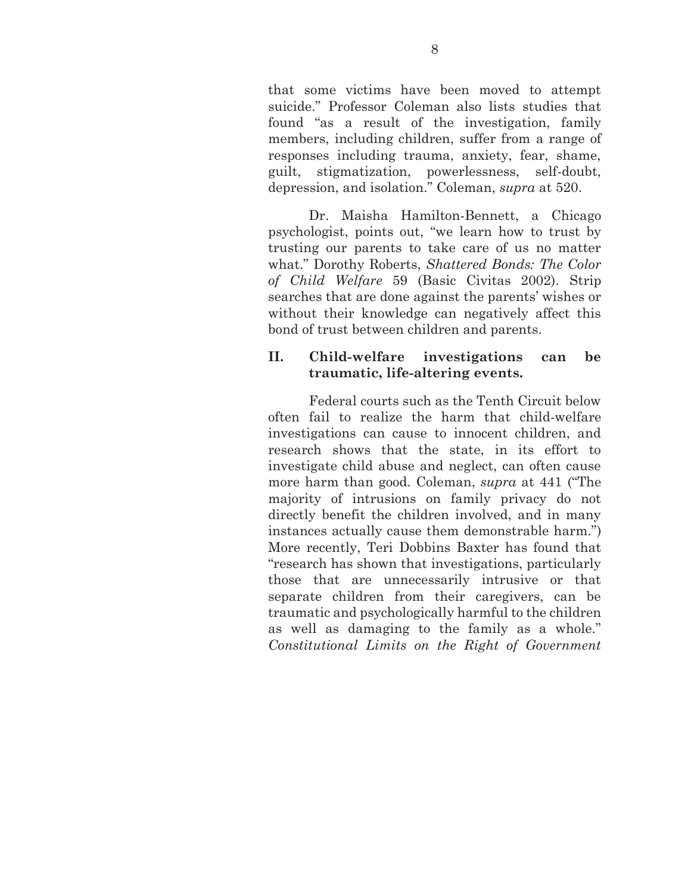that some victims have been moved to attempt suicide." Professor Coleman also lists studies that found "as a result of the investigation, family members, including children, suffer from a range of responses including trauma, anxiety, fear, shame, guilt, stigmatization, powerlessness, self-doubt, depression, and isolation." Coleman, *supra* at 520.

Dr. Maisha Hamilton-Bennett, a Chicago psychologist, points out, "we learn how to trust by trusting our parents to take care of us no matter what." Dorothy Roberts, *Shattered Bonds: The Color of Child Welfare* 59 (Basic Civitas 2002). Strip searches that are done against the parents' wishes or without their knowledge can negatively affect this bond of trust between children and parents.

#### **II. Child-welfare investigations can be traumatic, life-altering events.**

Federal courts such as the Tenth Circuit below often fail to realize the harm that child-welfare investigations can cause to innocent children, and research shows that the state, in its effort to investigate child abuse and neglect, can often cause more harm than good. Coleman, *supra* at 441 ("The majority of intrusions on family privacy do not directly benefit the children involved, and in many instances actually cause them demonstrable harm.") More recently, Teri Dobbins Baxter has found that "research has shown that investigations, particularly those that are unnecessarily intrusive or that separate children from their caregivers, can be traumatic and psychologically harmful to the children as well as damaging to the family as a whole." *Constitutional Limits on the Right of Government*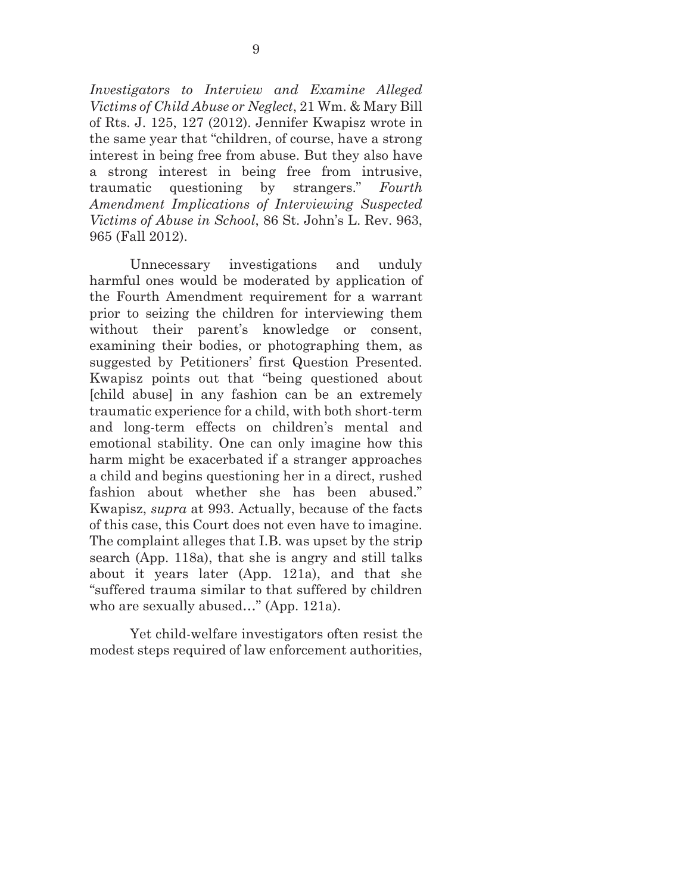*Investigators to Interview and Examine Alleged Victims of Child Abuse or Neglect*, 21 Wm. & Mary Bill of Rts. J. 125, 127 (2012). Jennifer Kwapisz wrote in the same year that "children, of course, have a strong interest in being free from abuse. But they also have a strong interest in being free from intrusive, traumatic questioning by strangers." *Fourth Amendment Implications of Interviewing Suspected Victims of Abuse in School*, 86 St. John's L. Rev. 963, 965 (Fall 2012).

Unnecessary investigations and unduly harmful ones would be moderated by application of the Fourth Amendment requirement for a warrant prior to seizing the children for interviewing them without their parent's knowledge or consent, examining their bodies, or photographing them, as suggested by Petitioners' first Question Presented. Kwapisz points out that "being questioned about [child abuse] in any fashion can be an extremely traumatic experience for a child, with both short-term and long-term effects on children's mental and emotional stability. One can only imagine how this harm might be exacerbated if a stranger approaches a child and begins questioning her in a direct, rushed fashion about whether she has been abused." Kwapisz, *supra* at 993. Actually, because of the facts of this case, this Court does not even have to imagine. The complaint alleges that I.B. was upset by the strip search (App. 118a), that she is angry and still talks about it years later (App. 121a), and that she "suffered trauma similar to that suffered by children who are sexually abused…" (App. 121a).

Yet child-welfare investigators often resist the modest steps required of law enforcement authorities,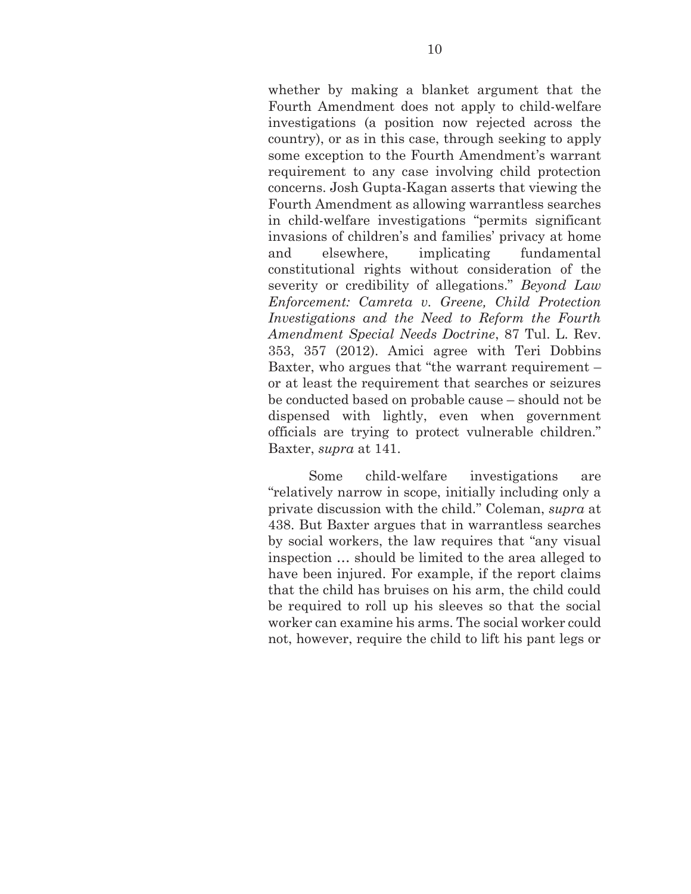whether by making a blanket argument that the Fourth Amendment does not apply to child-welfare investigations (a position now rejected across the country), or as in this case, through seeking to apply some exception to the Fourth Amendment's warrant requirement to any case involving child protection concerns. Josh Gupta-Kagan asserts that viewing the Fourth Amendment as allowing warrantless searches in child-welfare investigations "permits significant invasions of children's and families' privacy at home and elsewhere, implicating fundamental constitutional rights without consideration of the severity or credibility of allegations." *Beyond Law Enforcement: Camreta v. Greene, Child Protection Investigations and the Need to Reform the Fourth Amendment Special Needs Doctrine*, 87 Tul. L. Rev. 353, 357 (2012). Amici agree with Teri Dobbins Baxter, who argues that "the warrant requirement – or at least the requirement that searches or seizures be conducted based on probable cause – should not be dispensed with lightly, even when government officials are trying to protect vulnerable children." Baxter, *supra* at 141.

Some child-welfare investigations are "relatively narrow in scope, initially including only a private discussion with the child." Coleman, *supra* at 438. But Baxter argues that in warrantless searches by social workers, the law requires that "any visual inspection … should be limited to the area alleged to have been injured. For example, if the report claims that the child has bruises on his arm, the child could be required to roll up his sleeves so that the social worker can examine his arms. The social worker could not, however, require the child to lift his pant legs or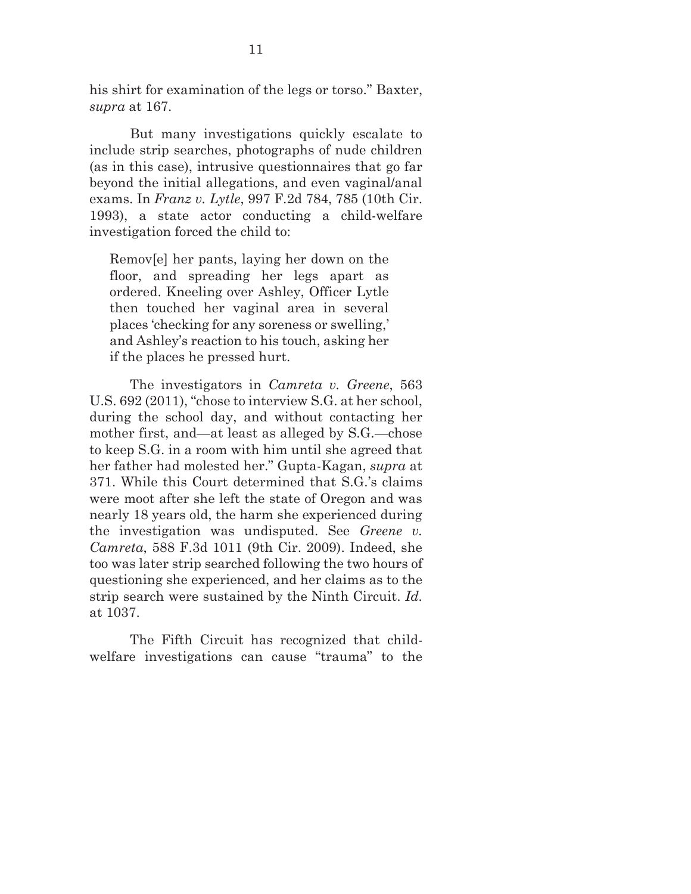his shirt for examination of the legs or torso." Baxter, *supra* at 167.

But many investigations quickly escalate to include strip searches, photographs of nude children (as in this case), intrusive questionnaires that go far beyond the initial allegations, and even vaginal/anal exams. In *Franz v. Lytle*, 997 F.2d 784, 785 (10th Cir. 1993), a state actor conducting a child-welfare investigation forced the child to:

Remov[e] her pants, laying her down on the floor, and spreading her legs apart as ordered. Kneeling over Ashley, Officer Lytle then touched her vaginal area in several places 'checking for any soreness or swelling,' and Ashley's reaction to his touch, asking her if the places he pressed hurt.

The investigators in *Camreta v. Greene*, 563 U.S. 692 (2011), "chose to interview S.G. at her school, during the school day, and without contacting her mother first, and—at least as alleged by S.G.—chose to keep S.G. in a room with him until she agreed that her father had molested her." Gupta-Kagan, *supra* at 371. While this Court determined that S.G.'s claims were moot after she left the state of Oregon and was nearly 18 years old, the harm she experienced during the investigation was undisputed. See *Greene v. Camreta*, 588 F.3d 1011 (9th Cir. 2009). Indeed, she too was later strip searched following the two hours of questioning she experienced, and her claims as to the strip search were sustained by the Ninth Circuit. *Id.* at 1037.

The Fifth Circuit has recognized that childwelfare investigations can cause "trauma" to the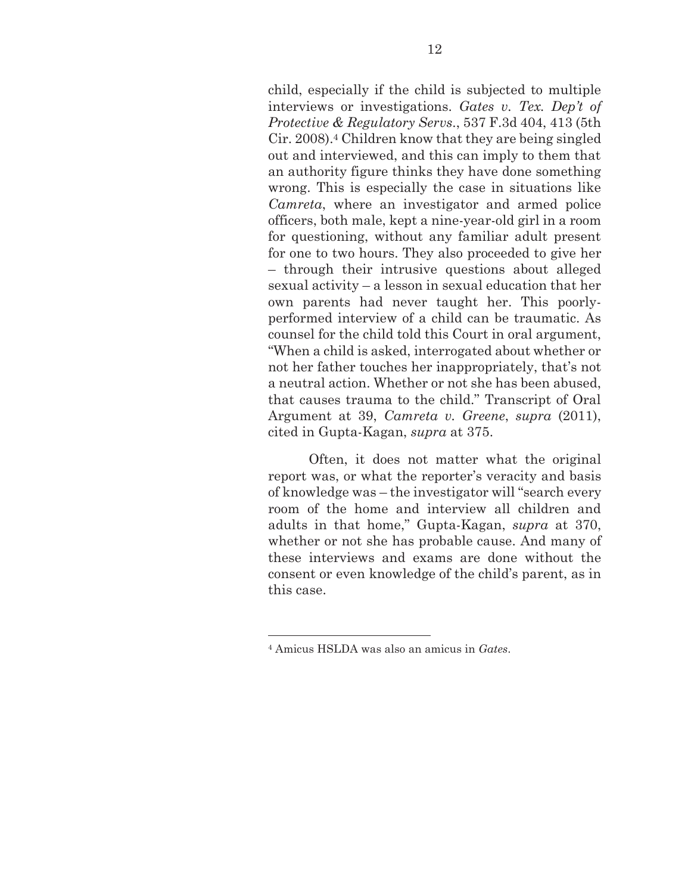child, especially if the child is subjected to multiple interviews or investigations. *Gates v. Tex. Dep't of Protective & Regulatory Servs*., 537 F.3d 404, 413 (5th Cir. 2008).4 Children know that they are being singled out and interviewed, and this can imply to them that an authority figure thinks they have done something wrong. This is especially the case in situations like *Camreta*, where an investigator and armed police officers, both male, kept a nine-year-old girl in a room for questioning, without any familiar adult present for one to two hours. They also proceeded to give her – through their intrusive questions about alleged sexual activity – a lesson in sexual education that her own parents had never taught her. This poorlyperformed interview of a child can be traumatic. As counsel for the child told this Court in oral argument, "When a child is asked, interrogated about whether or not her father touches her inappropriately, that's not a neutral action. Whether or not she has been abused, that causes trauma to the child." Transcript of Oral Argument at 39, *Camreta v. Greene*, *supra* (2011), cited in Gupta-Kagan, *supra* at 375.

Often, it does not matter what the original report was, or what the reporter's veracity and basis of knowledge was – the investigator will "search every room of the home and interview all children and adults in that home," Gupta-Kagan, *supra* at 370, whether or not she has probable cause. And many of these interviews and exams are done without the consent or even knowledge of the child's parent, as in this case.

 $\overline{a}$ 

<sup>4</sup> Amicus HSLDA was also an amicus in *Gates*.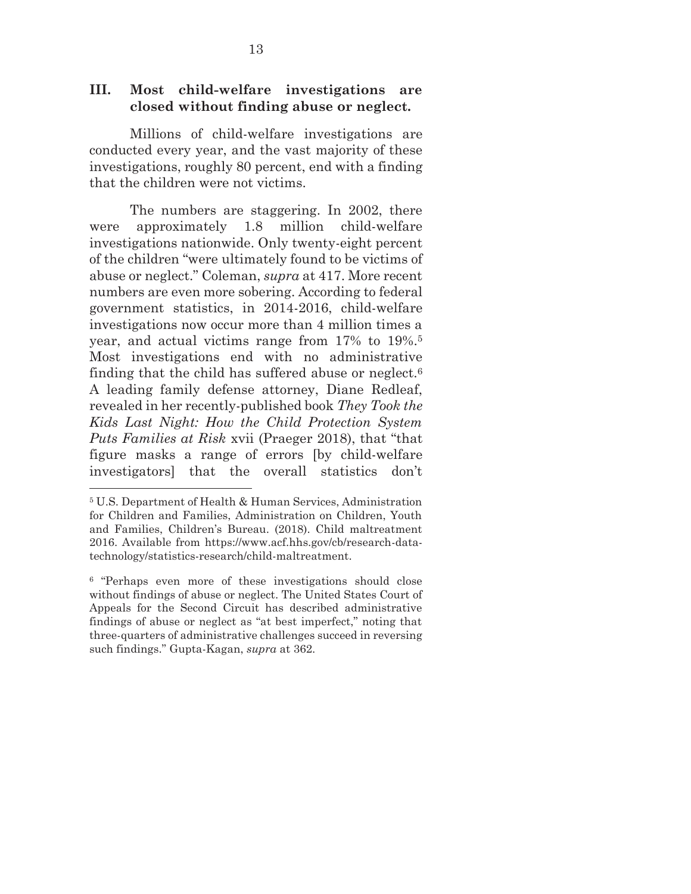#### **III. Most child-welfare investigations are closed without finding abuse or neglect.**

Millions of child-welfare investigations are conducted every year, and the vast majority of these investigations, roughly 80 percent, end with a finding that the children were not victims.

The numbers are staggering. In 2002, there were approximately 1.8 million child-welfare investigations nationwide. Only twenty-eight percent of the children "were ultimately found to be victims of abuse or neglect." Coleman, *supra* at 417. More recent numbers are even more sobering. According to federal government statistics, in 2014-2016, child-welfare investigations now occur more than 4 million times a year, and actual victims range from 17% to 19%.5 Most investigations end with no administrative finding that the child has suffered abuse or neglect.6 A leading family defense attorney, Diane Redleaf, revealed in her recently-published book *They Took the Kids Last Night: How the Child Protection System Puts Families at Risk* xvii (Praeger 2018), that "that figure masks a range of errors [by child-welfare investigators] that the overall statistics don't

 $\overline{a}$ 

<sup>5</sup> U.S. Department of Health & Human Services, Administration for Children and Families, Administration on Children, Youth and Families, Children's Bureau. (2018). Child maltreatment 2016. Available from https://www.acf.hhs.gov/cb/research-datatechnology/statistics-research/child-maltreatment.

<sup>6 &</sup>quot;Perhaps even more of these investigations should close without findings of abuse or neglect. The United States Court of Appeals for the Second Circuit has described administrative findings of abuse or neglect as "at best imperfect," noting that three-quarters of administrative challenges succeed in reversing such findings." Gupta-Kagan, *supra* at 362.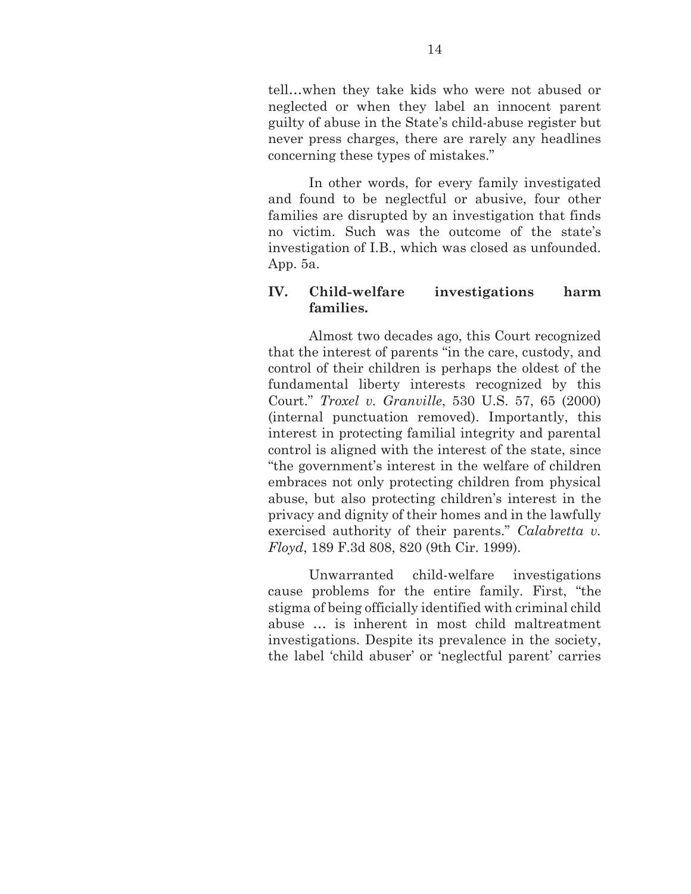tell…when they take kids who were not abused or neglected or when they label an innocent parent guilty of abuse in the State's child-abuse register but never press charges, there are rarely any headlines concerning these types of mistakes."

In other words, for every family investigated and found to be neglectful or abusive, four other families are disrupted by an investigation that finds no victim. Such was the outcome of the state's investigation of I.B., which was closed as unfounded. App. 5a.

### **IV. Child-welfare investigations harm families.**

Almost two decades ago, this Court recognized that the interest of parents "in the care, custody, and control of their children is perhaps the oldest of the fundamental liberty interests recognized by this Court." *Troxel v. Granville*, 530 U.S. 57, 65 (2000) (internal punctuation removed). Importantly, this interest in protecting familial integrity and parental control is aligned with the interest of the state, since "the government's interest in the welfare of children embraces not only protecting children from physical abuse, but also protecting children's interest in the privacy and dignity of their homes and in the lawfully exercised authority of their parents." *Calabretta v. Floyd*, 189 F.3d 808, 820 (9th Cir. 1999).

Unwarranted child-welfare investigations cause problems for the entire family. First, "the stigma of being officially identified with criminal child abuse … is inherent in most child maltreatment investigations. Despite its prevalence in the society, the label 'child abuser' or 'neglectful parent' carries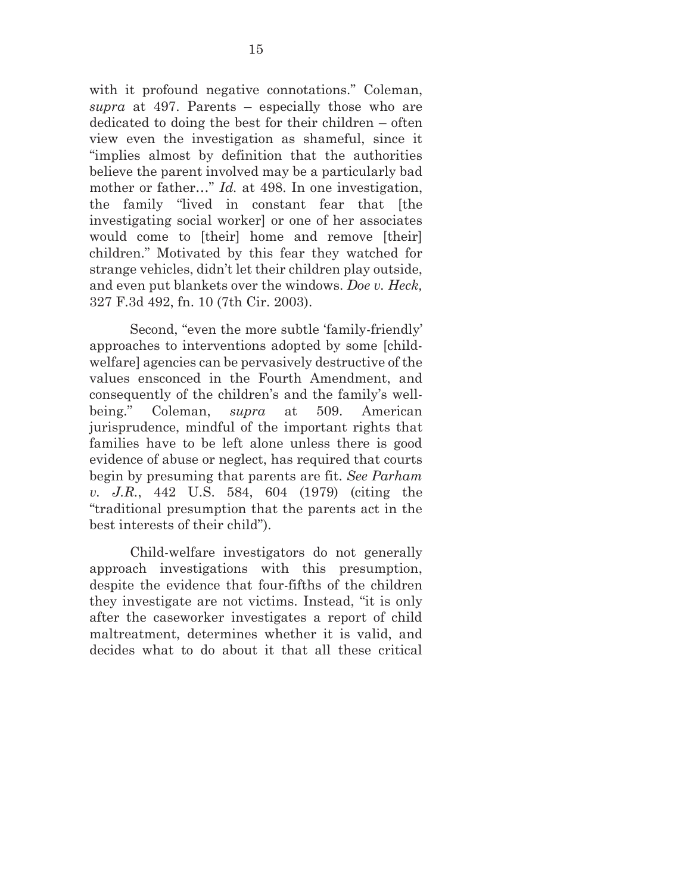with it profound negative connotations." Coleman, *supra* at 497. Parents – especially those who are dedicated to doing the best for their children – often view even the investigation as shameful, since it "implies almost by definition that the authorities believe the parent involved may be a particularly bad mother or father..." *Id.* at 498. In one investigation, the family "lived in constant fear that [the investigating social worker] or one of her associates would come to [their] home and remove [their] children." Motivated by this fear they watched for strange vehicles, didn't let their children play outside, and even put blankets over the windows. *Doe v. Heck,* 327 F.3d 492, fn. 10 (7th Cir. 2003).

Second, "even the more subtle 'family-friendly' approaches to interventions adopted by some [childwelfare] agencies can be pervasively destructive of the values ensconced in the Fourth Amendment, and consequently of the children's and the family's wellbeing." Coleman, *supra* at 509. American jurisprudence, mindful of the important rights that families have to be left alone unless there is good evidence of abuse or neglect, has required that courts begin by presuming that parents are fit. *See Parham v. J.R.*, 442 U.S. 584, 604 (1979) (citing the "traditional presumption that the parents act in the best interests of their child").

Child-welfare investigators do not generally approach investigations with this presumption, despite the evidence that four-fifths of the children they investigate are not victims. Instead, "it is only after the caseworker investigates a report of child maltreatment, determines whether it is valid, and decides what to do about it that all these critical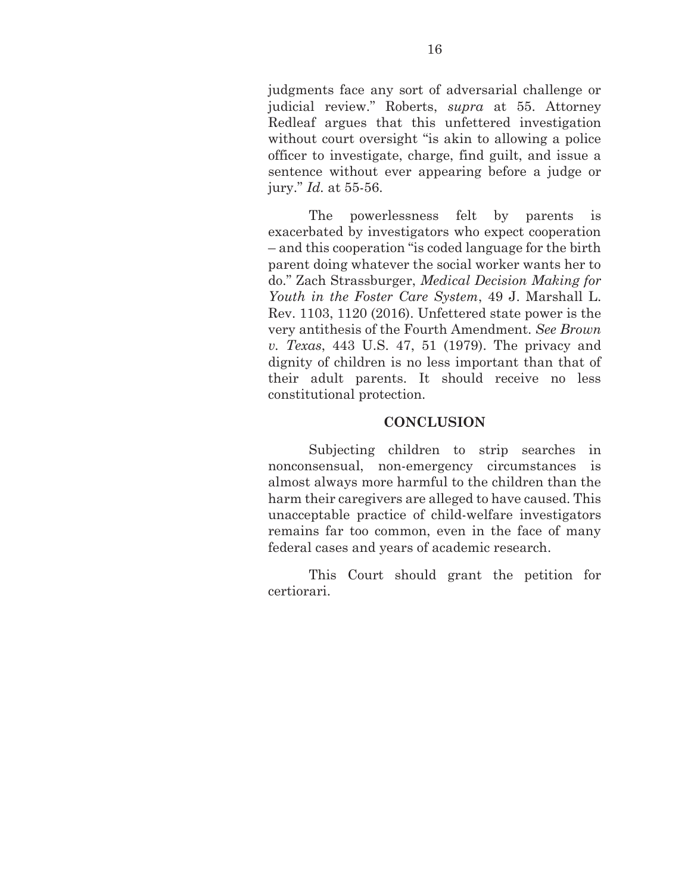judgments face any sort of adversarial challenge or judicial review." Roberts, *supra* at 55. Attorney Redleaf argues that this unfettered investigation without court oversight "is akin to allowing a police" officer to investigate, charge, find guilt, and issue a sentence without ever appearing before a judge or jury." *Id.* at 55-56.

The powerlessness felt by parents is exacerbated by investigators who expect cooperation – and this cooperation "is coded language for the birth parent doing whatever the social worker wants her to do." Zach Strassburger, *Medical Decision Making for Youth in the Foster Care System*, 49 J. Marshall L. Rev. 1103, 1120 (2016). Unfettered state power is the very antithesis of the Fourth Amendment. *See Brown v. Texas*, 443 U.S. 47, 51 (1979). The privacy and dignity of children is no less important than that of their adult parents. It should receive no less constitutional protection.

#### **CONCLUSION**

Subjecting children to strip searches in nonconsensual, non-emergency circumstances is almost always more harmful to the children than the harm their caregivers are alleged to have caused. This unacceptable practice of child-welfare investigators remains far too common, even in the face of many federal cases and years of academic research.

This Court should grant the petition for certiorari.